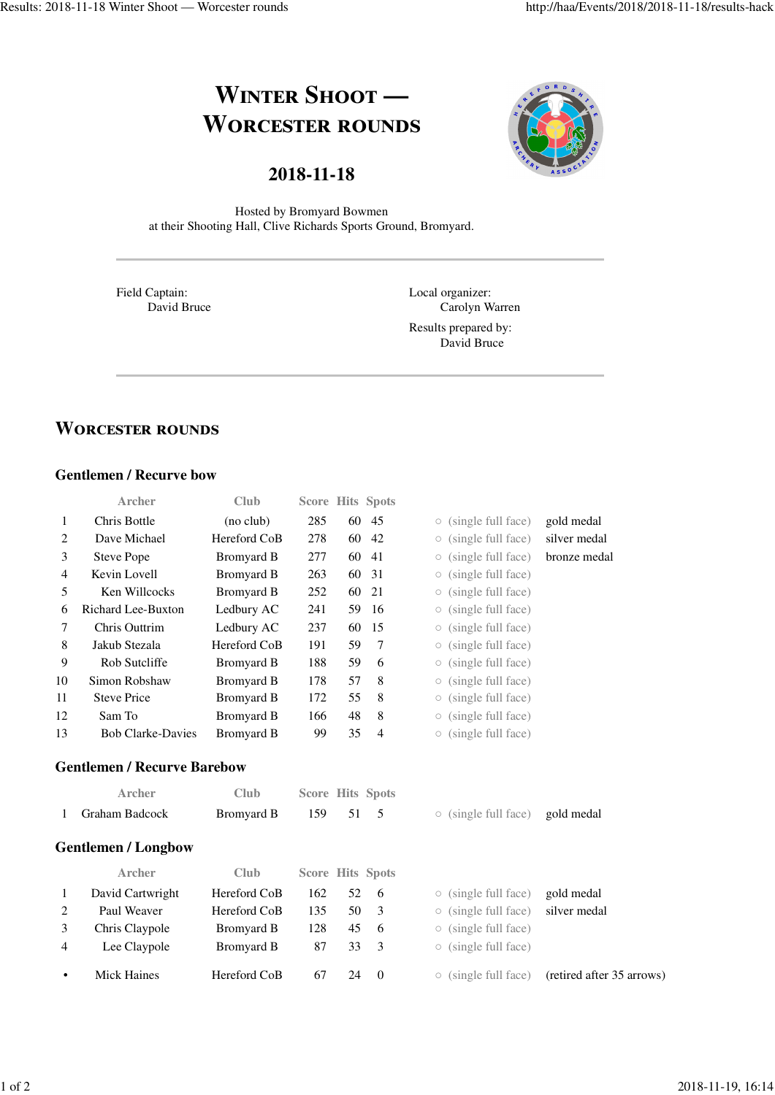## **WINTER SHOOT — WORCESTER ROUNDS**





Hosted by Bromyard Bowmen at their Shooting Hall, Clive Richards Sports Ground, Bromyard.

Field Captain: David Bruce Local organizer: Carolyn Warren

Results prepared by: David Bruce

## **WORCESTER ROUNDS**

## **Gentlemen / Recurve bow**

|    | <b>Archer</b>                      | Club              |     |    | <b>Score Hits Spots</b> |            |                            |                           |
|----|------------------------------------|-------------------|-----|----|-------------------------|------------|----------------------------|---------------------------|
| 1  | Chris Bottle                       | (no club)         | 285 | 60 | 45                      | $\circ$    | (single full face)         | gold medal                |
| 2  | Dave Michael                       | Hereford CoB      | 278 | 60 | 42                      | $\bigcirc$ | (single full face)         | silver medal              |
| 3  | <b>Steve Pope</b>                  | <b>Bromyard B</b> | 277 | 60 | 41                      | O          | (single full face)         | bronze medal              |
| 4  | Kevin Lovell                       | <b>Bromyard B</b> | 263 | 60 | 31                      | О          | (single full face)         |                           |
| 5  | Ken Willcocks                      | <b>Bromyard B</b> | 252 | 60 | 21                      | О          | (single full face)         |                           |
| 6  | Richard Lee-Buxton                 | Ledbury AC        | 241 | 59 | 16                      | $\circ$    | (single full face)         |                           |
| 7  | Chris Outtrim                      | Ledbury AC        | 237 | 60 | 15                      | О          | (single full face)         |                           |
| 8  | Jakub Stezala                      | Hereford CoB      | 191 | 59 | 7                       | О          | (single full face)         |                           |
| 9  | Rob Sutcliffe                      | <b>Bromyard B</b> | 188 | 59 | 6                       | 0          | (single full face)         |                           |
| 10 | Simon Robshaw                      | <b>Bromyard B</b> | 178 | 57 | 8                       | О          | (single full face)         |                           |
| 11 | <b>Steve Price</b>                 | <b>Bromyard B</b> | 172 | 55 | 8                       | О          | (single full face)         |                           |
| 12 | Sam To                             | <b>Bromyard B</b> | 166 | 48 | 8                       | 0          | (single full face)         |                           |
| 13 | <b>Bob Clarke-Davies</b>           | <b>Bromyard B</b> | 99  | 35 | $\overline{4}$          | $\bigcirc$ | (single full face)         |                           |
|    | <b>Gentlemen / Recurve Barebow</b> |                   |     |    |                         |            |                            |                           |
|    | <b>Archer</b>                      | <b>Club</b>       |     |    | <b>Score Hits Spots</b> |            |                            |                           |
| 1  | Graham Badcock                     | <b>Bromyard B</b> | 159 | 51 | 5                       |            | $\circ$ (single full face) | gold medal                |
|    | <b>Gentlemen / Longbow</b>         |                   |     |    |                         |            |                            |                           |
|    | <b>Archer</b>                      | <b>Club</b>       |     |    | <b>Score Hits Spots</b> |            |                            |                           |
| 1  | David Cartwright                   | Hereford CoB      | 162 | 52 | 6                       | $\circ$    | (single full face)         | gold medal                |
| 2  | Paul Weaver                        | Hereford CoB      | 135 | 50 | 3                       | О          | (single full face)         | silver medal              |
| 3  | Chris Claypole                     | <b>Bromyard B</b> | 128 | 45 | 6                       | $\circ$    | (single full face)         |                           |
| 4  | Lee Claypole                       | <b>Bromyard B</b> | 87  | 33 | 3                       | O          | (single full face)         |                           |
| ٠  | <b>Mick Haines</b>                 | Hereford CoB      | 67  | 24 | $\theta$                |            | $\circ$ (single full face) | (retired after 35 arrows) |